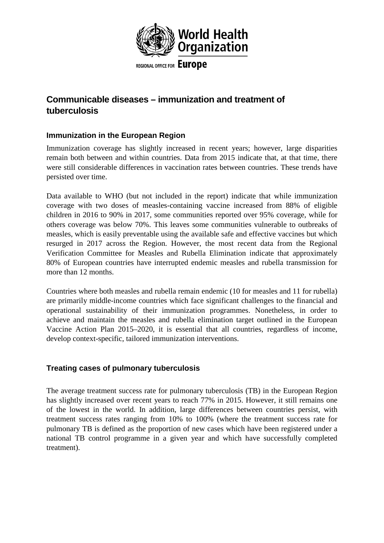

## **Communicable diseases – immunization and treatment of tuberculosis**

## **Immunization in the European Region**

Immunization coverage has slightly increased in recent years; however, large disparities remain both between and within countries. Data from 2015 indicate that, at that time, there were still considerable differences in vaccination rates between countries. These trends have persisted over time.

Data available to WHO (but not included in the report) indicate that while immunization coverage with two doses of measles-containing vaccine increased from 88% of eligible children in 2016 to 90% in 2017, some communities reported over 95% coverage, while for others coverage was below 70%. This leaves some communities vulnerable to outbreaks of measles, which is easily preventable using the available safe and effective vaccines but which resurged in 2017 across the Region. However, the most recent data from the Regional Verification Committee for Measles and Rubella Elimination indicate that approximately 80% of European countries have interrupted endemic measles and rubella transmission for more than 12 months.

Countries where both measles and rubella remain endemic (10 for measles and 11 for rubella) are primarily middle-income countries which face significant challenges to the financial and operational sustainability of their immunization programmes. Nonetheless, in order to achieve and maintain the measles and rubella elimination target outlined in the European Vaccine Action Plan 2015–2020, it is essential that all countries, regardless of income, develop context-specific, tailored immunization interventions.

## **Treating cases of pulmonary tuberculosis**

The average treatment success rate for pulmonary tuberculosis (TB) in the European Region has slightly increased over recent years to reach 77% in 2015. However, it still remains one of the lowest in the world. In addition, large differences between countries persist, with treatment success rates ranging from 10% to 100% (where the treatment success rate for pulmonary TB is defined as the proportion of new cases which have been registered under a national TB control programme in a given year and which have successfully completed treatment).